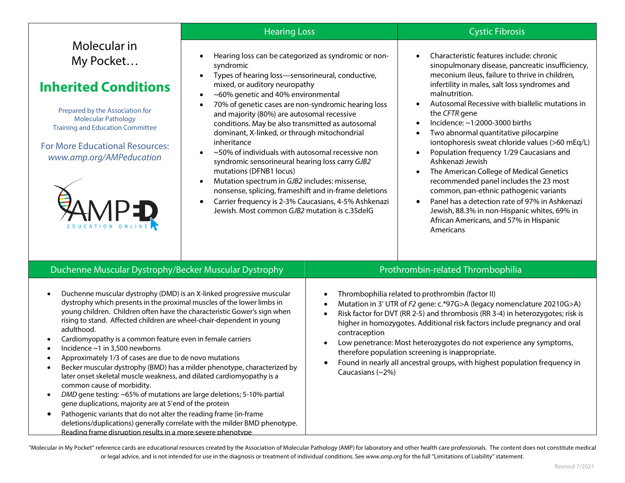| Molecular in |  |  |
|--------------|--|--|
| My Pocket    |  |  |

# **Inherited Conditions**

Prepared by the Association for Molecular Pathology Training and Education Committee

For More Educational Resources: *www.amp.org/AMPeducation*



- Hearing loss can be categorized as syndromic or nonsyndromic
- Types of hearing loss—sensorineural, conductive, mixed, or auditory neuropathy
- ~60% genetic and 40% environmental
- 70% of genetic cases are non-syndromic hearing loss and majority (80%) are autosomal recessive conditions. May be also transmitted as autosomal dominant, X-linked, or through mitochondrial inheritance
- ~50% of individuals with autosomal recessive non syndromic sensorineural hearing loss carry *GJB2* mutations (DFNB1 locus)
- Mutation spectrum in *GJB2* includes: missense, nonsense, splicing, frameshift and in-frame deletions
- Carrier frequency is 2-3% Caucasians, 4-5% Ashkenazi Jewish. Most common *GJB2* mutation is c.35delG

### **Hearing Loss** Cystic Fibrosis

- Characteristic features include: chronic sinopulmonary disease, pancreatic insufficiency, meconium ileus, failure to thrive in children, infertility in males, salt loss syndromes and malnutrition.
- Autosomal Recessive with biallelic mutations in the *CFTR* gene
- Incidence: ~1:2000-3000 births
- Two abnormal quantitative pilocarpine iontophoresis sweat chloride values (>60 mEq/L)
- Population frequency 1/29 Caucasians and Ashkenazi Jewish
- The American College of Medical Genetics recommended panel includes the 23 most common, pan-ethnic pathogenic variants
- Panel has a detection rate of 97% in Ashkenazi Jewish, 88.3% in non-Hispanic whites, 69% in African Americans, and 57% in Hispanic Americans

## Duchenne Muscular Dystrophy/Becker Muscular Dystrophy Prothrombin-related Thrombophilia

- Duchenne muscular dystrophy (DMD) is an X-linked progressive muscular dystrophy which presents in the proximal muscles of the lower limbs in young children. Children often have the characteristic Gower's sign when rising to stand. Affected children are wheel-chair-dependent in young adulthood.
- Cardiomyopathy is a common feature even in female carriers
- Incidence  $\sim$ 1 in 3.500 newborns
- Approximately 1/3 of cases are due to de novo mutations
- Becker muscular dystrophy (BMD) has a milder phenotype, characterized by later onset skeletal muscle weakness, and dilated cardiomyopathy is a common cause of morbidity.
- *DMD* gene testing: ~65% of mutations are large deletions; 5-10% partial gene duplications, majority are at 5'end of the protein
- Pathogenic variants that do not alter the reading frame (in-frame deletions/duplications) generally correlate with the milder BMD phenotype. Reading frame disruption results in a more severe phenotype

- Thrombophilia related to prothrombin (factor II)
- Mutation in 3' UTR of *F2* gene: c.\*97G>A (legacy nomenclature 20210G>A)
- Risk factor for DVT (RR 2-5) and thrombosis (RR 3-4) in heterozygotes; risk is higher in homozygotes. Additional risk factors include pregnancy and oral contraception
- Low penetrance: Most heterozygotes do not experience any symptoms, therefore population screening is inappropriate.
- Found in nearly all ancestral groups, with highest population frequency in Caucasians (~2%)

"Molecular in My Pocket" reference cards are educational resources created by the Association of Molecular Pathology (AMP) for laboratory and other health care professionals. The content does not constitute medical or legal advice, and is not intended for use in the diagnosis or treatment of individual conditions. See *[www.amp.org](http://www.amp.org/)* for the full "Limitations of Liability" statement.